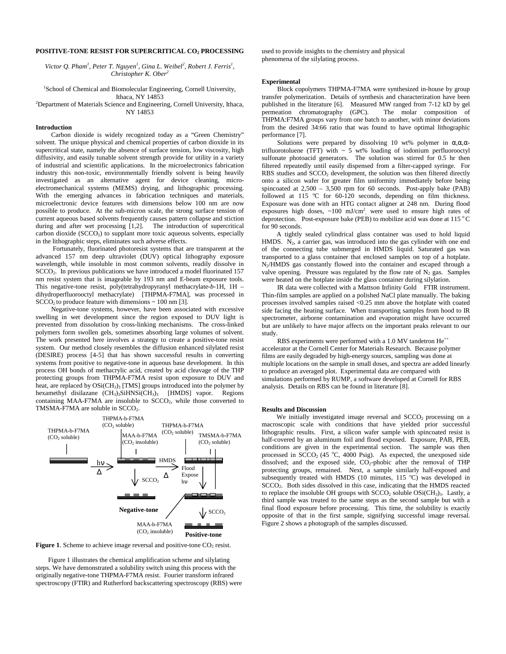## **POSITIVE-TONE RESIST FOR SUPERCRITICAL CO2 PROCESSING**

*Victor Q. Pham<sup>1</sup>, Peter T. Nguyen<sup>1</sup>, Gina L. Weibel<sup>2</sup>, Robert J. Ferris<sup>1</sup>, Christopher K. Ober<sup>2</sup>*

1 School of Chemical and Biomolecular Engineering, Cornell University, Ithaca, NY 14853 2 Department of Materials Science and Engineering, Cornell University, Ithaca,

NY 14853

# **Introduction**

Carbon dioxide is widely recognized today as a "Green Chemistry" solvent. The unique physical and chemical properties of carbon dioxide in its supercritical state, namely the absence of surface tension, low viscosity, high diffusivity, and easily tunable solvent strength provide for utility in a variety of industrial and scientific applications. In the microelectronics fabrication industry this non-toxic, environmentally friendly solvent is being heavily investigated as an alternative agent for device cleaning, microelectromechanical systems (MEMS) drying, and lithographic processing. With the emerging advances in fabrication techniques and materials, microelectronic device features with dimensions below 100 nm are now possible to produce. At the sub-micron scale, the strong surface tension of current aqueous based solvents frequently causes pattern collapse and stiction during and after wet processing  $\begin{bmatrix} 1,2 \end{bmatrix}$ . The introduction of supercritical carbon dioxide  $(SCCO<sub>2</sub>)$  to supplant more toxic aqueous solvents, especially in the lithographic steps, eliminates such adverse effects.

 Fortunately, fluorinated photoresist systems that are transparent at the advanced 157 nm deep ultraviolet (DUV) optical lithography exposure wavelength, while insoluble in most common solvents, readily dissolve in SCCO2. In previous publications we have introduced a model fluorinated 157 nm resist system that is imageable by 193 nm and E-beam exposure tools. This negative-tone resist, poly(tetrahydropyranyl methacrylate-*b*-1H, 1H – dihydroperfluorooctyl methacrylate) [THPMA-F7MA], was processed in  $SCCO<sub>2</sub>$  to produce feature with dimensions  $\sim 100$  nm [3].

Negative-tone systems, however, have been associated with excessive swelling in wet development since the region exposed to DUV light is prevented from dissolution by cross-linking mechanisms. The cross-linked polymers form swollen gels, sometimes absorbing large volumes of solvent. The work presented here involves a strategy to create a positive-tone resist system. Our method closely resembles the diffusion enhanced silylated resist (DESIRE) process [4-5] that has shown successful results in converting systems from positive to negative-tone in aqueous base development. In this process OH bonds of methacrylic acid, created by acid cleavage of the THP protecting groups from THPMA-F7MA resist upon exposure to DUV and heat, are replaced by OSi(CH<sub>3</sub>)<sub>3</sub> [TMS] groups introduced into the polymer by hexamethyl disilazane (CH<sub>3</sub>)<sub>3</sub>SiHNSi(CH<sub>3</sub>)<sub>3</sub> [HMDS] vapor. Regions containing MAA-F7MA are insoluble to  $SCCO<sub>2</sub>$ , while those converted to TMSMA-F7MA are soluble in SCCO<sub>2</sub>.



**Figure 1.** Scheme to achieve image reversal and positive-tone  $CO<sub>2</sub>$  resist.

Figure 1 illustrates the chemical amplification scheme and silylating steps. We have demonstrated a solubility switch using this process with the originally negative-tone THPMA-F7MA resist. Fourier transform infrared spectroscopy (FTIR) and Rutherford backscattering spectroscopy (RBS) were used to provide insights to the chemistry and physical phenomena of the silylating process.

## **Experimental**

Block copolymers THPMA-F7MA were synthesized in-house by group transfer polymerization. Details of synthesis and characterization have been published in the literature [6]. Measured MW ranged from 7-12 kD by gel permeation chromatography (GPC). The molar composition of permeation chromatography (GPC). THPMA:F7MA groups vary from one batch to another, with minor deviations from the desired 34:66 ratio that was found to have optimal lithographic performance [7].

Solutions were prepared by dissolving 10 wt% polymer in  $\alpha, \alpha, \alpha$ trifluorotoluene (TFT) with  $\sim$  5 wt% loading of iodonium perfluorooctyl sulfonate photoacid generators. The solution was stirred for 0.5 hr then filtered repeatedly until easily dispensed from a filter-capped syringe. For RBS studies and SCCO<sub>2</sub> development, the solution was then filtered directly onto a silicon wafer for greater film uniformity immediately before being spincoated at 2,500 – 3,500 rpm for 60 seconds. Post-apply bake (PAB) followed at 115  $^{\circ}$ C for 60-120 seconds, depending on film thickness. Exposure was done with an HTG contact aligner at 248 nm. During flood exposures high doses,  $\sim 100$  mJ/cm<sup>2</sup>, were used to ensure high rates of deprotection. Post-exposure bake (PEB) to mobilize acid was done at 115  $^{\circ}$ C for 90 seconds.

A tightly sealed cylindrical glass container was used to hold liquid HMDS.  $N_2$ , a carrier gas, was introduced into the gas cylinder with one end of the connecting tube submerged in HMDS liquid. Saturated gas was transported to a glass container that enclosed samples on top of a hotplate. N2/HMDS gas constantly flowed into the container and escaped through a valve opening. Pressure was regulated by the flow rate of  $N_2$  gas. Samples were heated on the hotplate inside the glass container during silylation.

IR data were collected with a Mattson Infinity Gold® FTIR instrument. Thin-film samples are applied on a polished NaCl plate manually. The baking processes involved samples raised <0.25 mm above the hotplate with coated side facing the heating surface. When transporting samples from hood to IR spectrometer, airborne contamination and evaporation might have occurred but are unlikely to have major affects on the important peaks relevant to our study.

RBS experiments were performed with a 1.0 MV tandetron He<sup>++</sup> accelerator at the Cornell Center for Materials Research. Because polymer films are easily degraded by high-energy sources, sampling was done at multiple locations on the sample in small doses, and spectra are added linearly to produce an averaged plot. Experimental data are compared with simulations performed by RUMP, a software developed at Cornell for RBS analysis. Details on RBS can be found in literature [8].

### **Results and Discussion**

We initially investigated image reversal and SCCO<sub>2</sub> processing on a macroscopic scale with conditions that have yielded prior successful lithographic results. First, a silicon wafer sample with spincoated resist is half-covered by an aluminum foil and flood exposed. Exposure, PAB, PEB, conditions are given in the experimental section. The sample was then processed in  $SCCO<sub>2</sub>$  (45 °C, 4000 Psig). As expected, the unexposed side dissolved; and the exposed side,  $CO<sub>2</sub>$ -phobic after the removal of THP protecting groups, remained. Next, a sample similarly half-exposed and subsequently treated with HMDS (10 minutes,  $115\text{ °C}$ ) was developed in SCCO2. Both sides dissolved in this case, indicating that the HMDS reacted to replace the insoluble OH groups with  $SCCO<sub>2</sub>$  soluble  $OSi(CH<sub>3</sub>)<sub>3</sub>$ . Lastly, a third sample was treated to the same steps as the second sample but with a final flood exposure before processing. This time, the solubility is exactly opposite of that in the first sample, signifying successful image reversal. Figure 2 shows a photograph of the samples discussed.